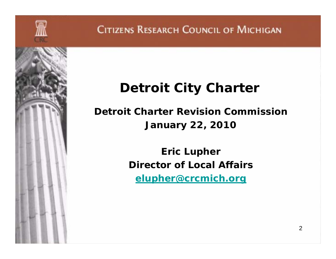## **Detroit City Charter**

**Detroit Charter Revision Commission January 22, 2010**

> **Eric Lupher Director of Local Affairselupher@crcmich.org**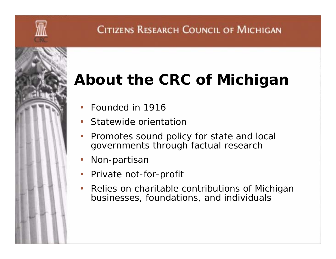# **About the CRC of Michigan**

- •Founded in 1916
- •Statewide orientation
- • Promotes sound policy for state and local governments through factual research
- •Non-partisan
- •Private not-for-profit
- • Relies on charitable contributions of Michigan businesses, foundations, and individuals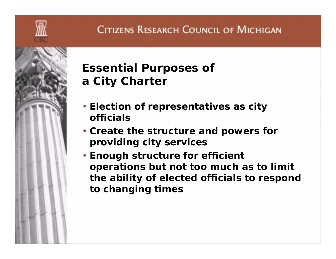

### **Essential Purposes of a City Charter**

- **Election of representatives as city officials**
- **Create the structure and powers for providing city services**
- **Enough structure for efficient operations but not too much as to limit the ability of elected officials to respond to changing times**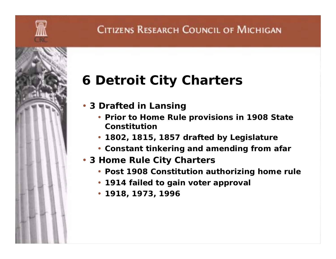# **6 Detroit City Charters**

- **3 Drafted in Lansing**
	- **Prior to Home Rule provisions in 1908 State Constitution**
	- **1802, 1815, 1857 drafted by Legislature**
	- **Constant tinkering and amending from afar**
- **3 Home Rule City Charters**
	- **Post 1908 Constitution authorizing home rule**
	- **1914 failed to gain voter approval**
	- **1918, 1973, 1996**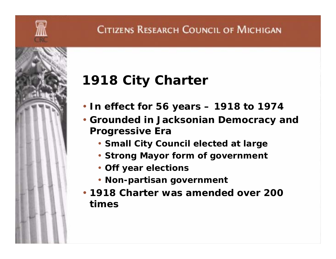

# **1918 City Charter**

- **In effect for 56 years – 1918 to 1974**
- **Grounded in Jacksonian Democracy and Progressive Era** 
	- **Small City Council elected at large**
	- **Strong Mayor form of government**
	- **Off year elections**
	- **Non-partisan government**
- **1918 Charter was amended over 200 times**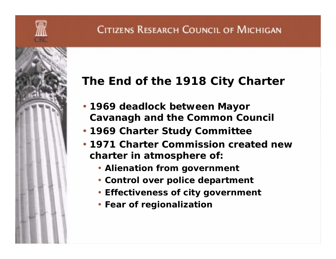

#### **The End of the 1918 City Charter**

- **1969 deadlock between Mayor Cavanagh and the Common Council**
- **1969 Charter Study Committee**
- **1971 Charter Commission created new charter in atmosphere of:**
	- **Alienation from government**
	- **Control over police department**
	- **Effectiveness of city government**
	- **Fear of regionalization**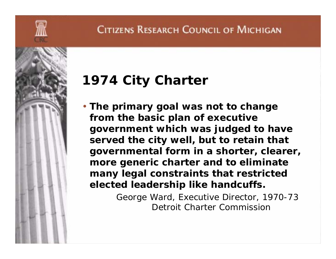

## **1974 City Charter**

• **The primary goal was not to change from the basic plan of executive government which was judged to have served the city well, but to retain that governmental form in a shorter, clearer, more generic charter and to eliminate many legal constraints that restricted elected leadership like handcuffs.**

> George Ward, Executive Director, 1970-73 Detroit Charter Commission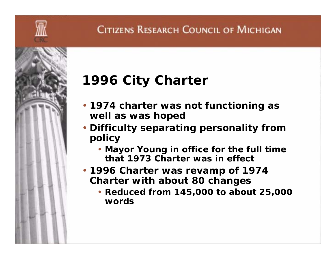# **1996 City Charter**

- **1974 charter was not functioning as well as was hoped**
- **Difficulty separating personality from policy**
	- **Mayor Young in office for the full time that 1973 Charter was in effect**
- **1996 Charter was revamp of 1974 Charter with about 80 changes**
	- **Reduced from 145,000 to about 25,000 words**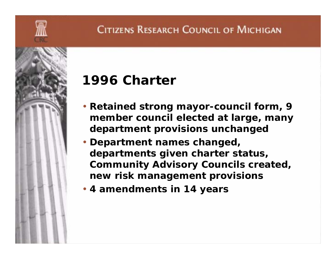

## **1996 Charter**

- **Retained strong mayor-council form, 9 member council elected at large, many department provisions unchanged**
- **Department names changed, departments given charter status, Community Advisory Councils created, new risk management provisions**
- **4 amendments in 14 years**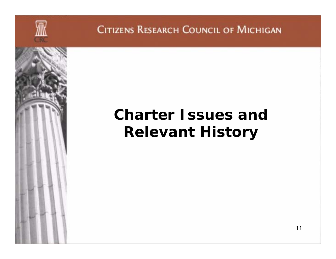

# **Charter Issues and Relevant History**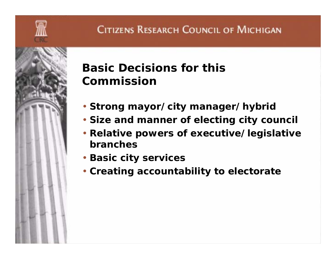

#### **Basic Decisions for this Commission**

- **Strong mayor/city manager/hybrid**
- **Size and manner of electing city council**
- **Relative powers of executive/legislative branches**
- **Basic city services**
- **Creating accountability to electorate**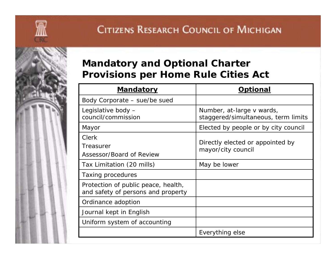

#### **Mandatory and Optional Charter Provisions per Home Rule Cities Act**

| <b>Mandatory</b>                                                          | Optional                                                         |
|---------------------------------------------------------------------------|------------------------------------------------------------------|
| Body Corporate – sue/be sued                                              |                                                                  |
| Legislative body -<br>council/commission                                  | Number, at-large v wards,<br>staggered/simultaneous, term limits |
| Mayor                                                                     | Elected by people or by city council                             |
| <b>Clerk</b><br>Treasurer<br>Assessor/Board of Review                     | Directly elected or appointed by<br>mayor/city council           |
| Tax Limitation (20 mills)                                                 | May be lower                                                     |
| Taxing procedures                                                         |                                                                  |
| Protection of public peace, health,<br>and safety of persons and property |                                                                  |
| Ordinance adoption                                                        |                                                                  |
| Journal kept in English                                                   |                                                                  |
| Uniform system of accounting                                              |                                                                  |
|                                                                           | Everything else                                                  |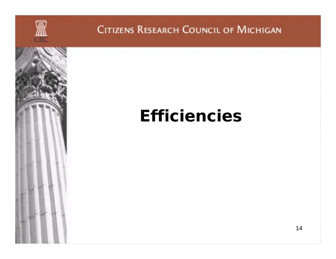

# **Efficiencies**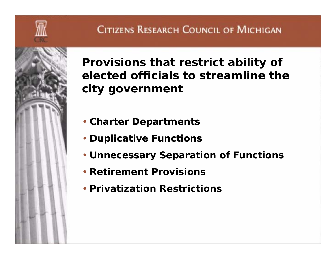

**Provisions that restrict ability of elected officials to streamline the city government** 

- **Charter Departments**
- **Duplicative Functions**
- **Unnecessary Separation of Functions**
- **Retirement Provisions**
- **Privatization Restrictions**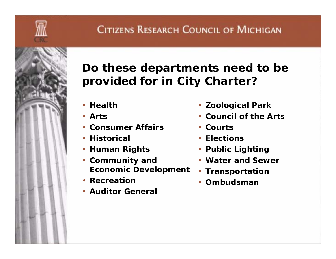

### **Do these departments need to be provided for in City Charter?**

- **Health**
- **Arts**
- **Consumer Affairs**
- **Historical**
- **Human Rights**
- **Community and Economic Development**
- **Recreation**
- **Auditor General**
- **Zoological Park**
- **Council of the Arts**
- **Courts**
- **Elections**
- **Public Lighting**
- **Water and Sewer**
- **Transportation**
- **Ombudsman**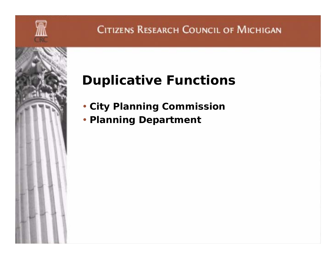

# **Duplicative Functions**

- **City Planning Commission**
- **Planning Department**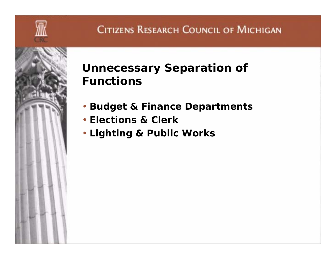

### **Unnecessary Separation of Functions**

- **Budget & Finance Departments**
- **Elections & Clerk**
- **Lighting & Public Works**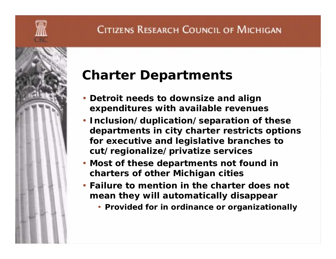

### **Charter Departments**

- **Detroit needs to downsize and align expenditures with available revenues**
- **Inclusion/duplication/separation of these departments in city charter restricts options for executive and legislative branches to cut/regionalize/privatize services**
- **Most of these departments not found in charters of other Michigan cities**
- **Failure to mention in the charter does not mean they will automatically disappear**
	- **Provided for in ordinance or organizationally**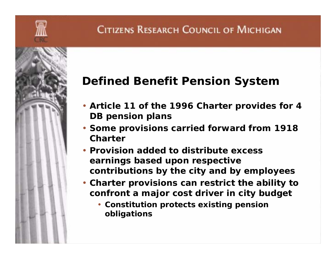

#### **Defined Benefit Pension System**

- **Article 11 of the 1996 Charter provides for 4 DB pension plans**
- **Some provisions carried forward from 1918 Charter**
- **Provision added to distribute excess earnings based upon respective contributions by the city and by employees**
- **Charter provisions can restrict the ability to confront a major cost driver in city budget** 
	- **Constitution protects existing pension obligations**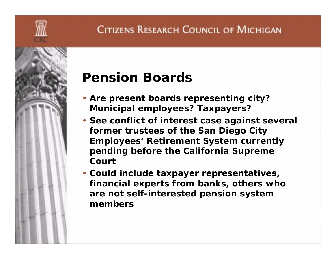

### **Pension Boards**

- **Are present boards representing city? Municipal employees? Taxpayers?**
- **See conflict of interest case against several former trustees of the San Diego City Employees' Retirement System currently pending before the California Supreme Court**
- **Could include taxpayer representatives, financial experts from banks, others who are not self-interested pension system members**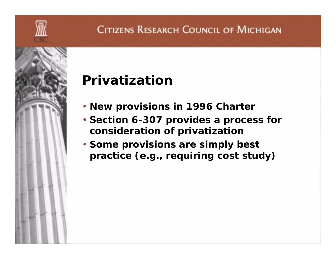

# **Privatization**

- **New provisions in 1996 Charter**
- **Section 6-307 provides a process for consideration of privatization**
- **Some provisions are simply best practice (e.g., requiring cost study)**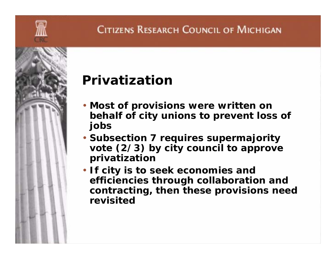

# **Privatization**

- **Most of provisions were written on behalf of city unions to prevent loss of jobs**
- **Subsection 7 requires supermajority vote (2/3) by city council to approve privatization**
- **If city is to seek economies and efficiencies through collaboration and contracting, then these provisions need revisited**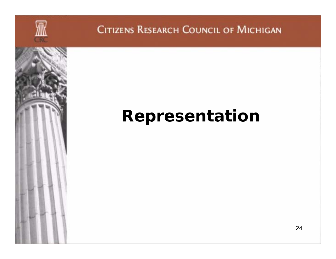

# **Representation**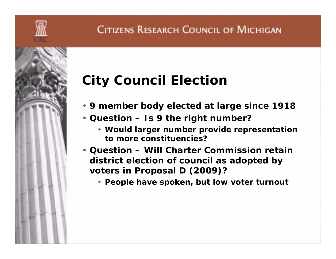

# **City Council Election**

- **9 member body elected at large since 1918**
- **Question – Is 9 the right number?**
	- **Would larger number provide representation to more constituencies?**
- **Question – Will Charter Commission retain district election of council as adopted by voters in Proposal D (2009)?**
	- **People have spoken, but low voter turnout**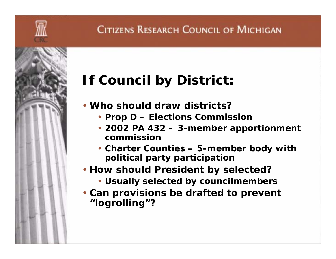

# **If Council by District:**

- **Who should draw districts?**
	- **Prop D – Elections Commission**
	- **2002 PA 432 – 3-member apportionment commission**
	- **Charter Counties – 5-member body with political party participation**
- **How should President by selected?** 
	- **Usually selected by councilmembers**
- **Can provisions be drafted to prevent "logrolling"?**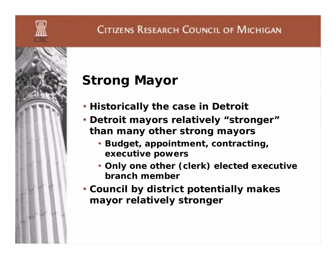

# **Strong Mayor**

- **Historically the case in Detroit**
- **Detroit mayors relatively "stronger" than many other strong mayors**
	- **Budget, appointment, contracting, executive powers**
	- **Only one other (clerk) elected executive branch member**
- **Council by district potentially makes mayor relatively stronger**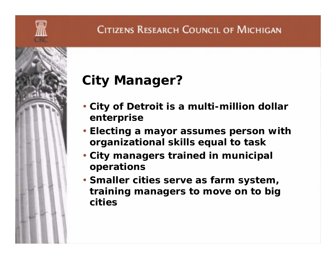

# **City Manager?**

- **City of Detroit is a multi-million dollar enterprise**
- **Electing a mayor assumes person with organizational skills equal to task**
- **City managers trained in municipal operations**
- **Smaller cities serve as farm system, training managers to move on to big cities**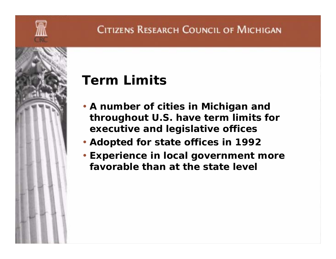

# **Term Limits**

- **A number of cities in Michigan and throughout U.S. have term limits for executive and legislative offices**
- **Adopted for state offices in 1992**
- **Experience in local government more favorable than at the state level**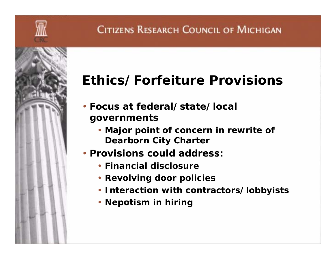

- **Focus at federal/state/local governments** 
	- **Major point of concern in rewrite of Dearborn City Charter**
- **Provisions could address:**
	- **Financial disclosure**
	- **Revolving door policies**
	- **Interaction with contractors/lobbyists**
	- **Nepotism in hiring**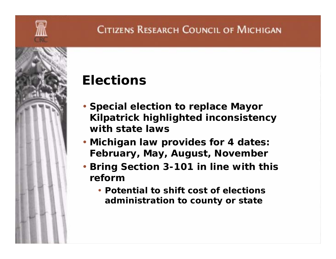

### **Elections**

- **Special election to replace Mayor Kilpatrick highlighted inconsistency with state laws**
- **Michigan law provides for 4 dates: February, May, August, November**
- **Bring Section 3-101 in line with this reform**
	- **Potential to shift cost of elections administration to county or state**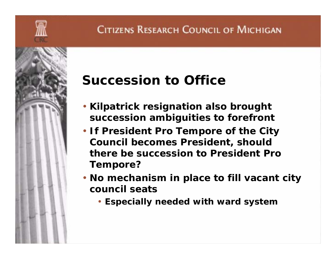

### **Succession to Office**

- **Kilpatrick resignation also brought succession ambiguities to forefront**
- **If President Pro Tempore of the City Council becomes President, should there be succession to President Pro Tempore?**
- **No mechanism in place to fill vacant city council seats**
	- **Especially needed with ward system**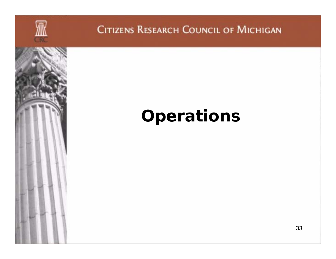

# **Operations**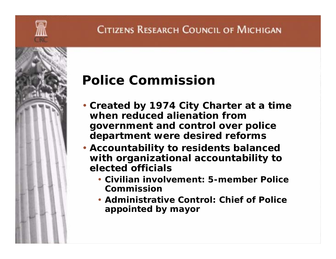

## **Police Commission**

- **Created by 1974 City Charter at a time when reduced alienation from government and control over police department were desired reforms**
- **Accountability to residents balanced with organizational accountability to elected officials**
	- **Civilian involvement: 5-member Police Commission**
	- **Administrative Control: Chief of Police appointed by mayor**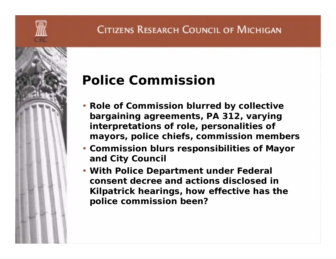

### **Police Commission**

- **Role of Commission blurred by collective bargaining agreements, PA 312, varying interpretations of role, personalities of mayors, police chiefs, commission members**
- **Commission blurs responsibilities of Mayor and City Council**
- **With Police Department under Federal consent decree and actions disclosed in Kilpatrick hearings, how effective has the police commission been?**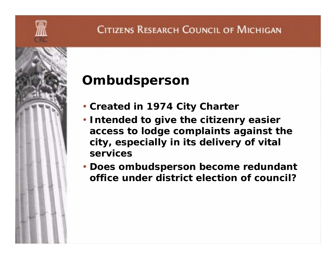

# **Ombudsperson**

- **Created in 1974 City Charter**
- **Intended to give the citizenry easier access to lodge complaints against the city, especially in its delivery of vital services**
- **Does ombudsperson become redundant office under district election of council?**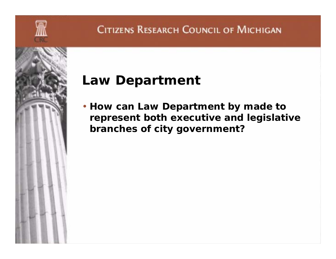

### **Law Department**

• **How can Law Department by made to represent both executive and legislative branches of city government?**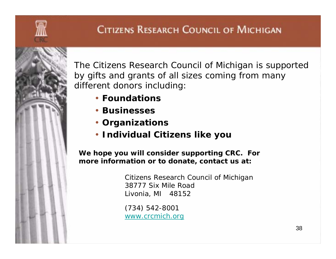

The Citizens Research Council of Michigan is supported by gifts and grants of all sizes coming from many different donors including:

- **Foundations**
- **Businesses**
- **Organizations**
- **Individual Citizens like you**

*We hope you will consider supporting CRC. For more information or to donate, contact us at:*

> Citizens Research Council of Michigan 38777 Six Mile RoadLivonia, MI 48152

(734) 542-8001 www.crcmich.org